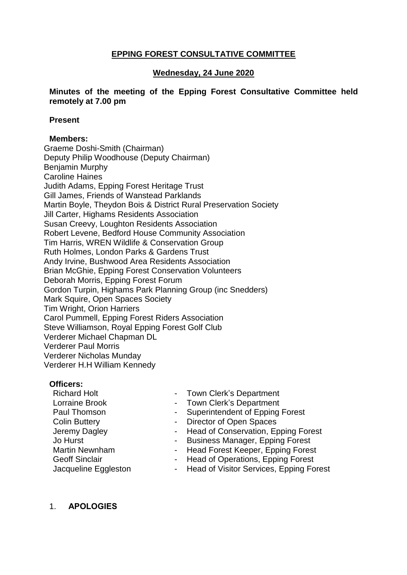# **EPPING FOREST CONSULTATIVE COMMITTEE**

## **Wednesday, 24 June 2020**

### **Minutes of the meeting of the Epping Forest Consultative Committee held remotely at 7.00 pm**

#### **Present**

## **Members:**

Graeme Doshi-Smith (Chairman) Deputy Philip Woodhouse (Deputy Chairman) Benjamin Murphy Caroline Haines Judith Adams, Epping Forest Heritage Trust Gill James, Friends of Wanstead Parklands Martin Boyle, Theydon Bois & District Rural Preservation Society Jill Carter, Highams Residents Association Susan Creevy, Loughton Residents Association Robert Levene, Bedford House Community Association Tim Harris, WREN Wildlife & Conservation Group Ruth Holmes, London Parks & Gardens Trust Andy Irvine, Bushwood Area Residents Association Brian McGhie, Epping Forest Conservation Volunteers Deborah Morris, Epping Forest Forum Gordon Turpin, Highams Park Planning Group (inc Snedders) Mark Squire, Open Spaces Society Tim Wright, Orion Harriers Carol Pummell, Epping Forest Riders Association Steve Williamson, Royal Epping Forest Golf Club Verderer Michael Chapman DL Verderer Paul Morris Verderer Nicholas Munday Verderer H.H William Kennedy

#### **Officers:**

- Richard Holt Lorraine Brook Paul Thomson Colin Buttery Jeremy Dagley Jo Hurst Martin Newnham Geoff Sinclair Jacqueline Eggleston
- Town Clerk's Department
- Town Clerk's Department
- Superintendent of Epping Forest
- Director of Open Spaces
- Head of Conservation, Epping Forest
- Business Manager, Epping Forest
- Head Forest Keeper, Epping Forest
- Head of Operations, Epping Forest
- Head of Visitor Services, Epping Forest

## 1. **APOLOGIES**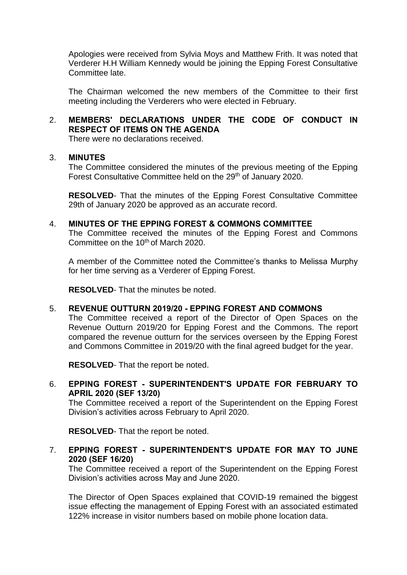Apologies were received from Sylvia Moys and Matthew Frith. It was noted that Verderer H.H William Kennedy would be joining the Epping Forest Consultative Committee late.

The Chairman welcomed the new members of the Committee to their first meeting including the Verderers who were elected in February.

# 2. **MEMBERS' DECLARATIONS UNDER THE CODE OF CONDUCT IN RESPECT OF ITEMS ON THE AGENDA**

There were no declarations received.

#### 3. **MINUTES**

The Committee considered the minutes of the previous meeting of the Epping Forest Consultative Committee held on the 29<sup>th</sup> of January 2020.

**RESOLVED**- That the minutes of the Epping Forest Consultative Committee 29th of January 2020 be approved as an accurate record.

#### 4. **MINUTES OF THE EPPING FOREST & COMMONS COMMITTEE**

The Committee received the minutes of the Epping Forest and Commons Committee on the 10<sup>th</sup> of March 2020.

A member of the Committee noted the Committee's thanks to Melissa Murphy for her time serving as a Verderer of Epping Forest.

**RESOLVED**- That the minutes be noted.

## 5. **REVENUE OUTTURN 2019/20 - EPPING FOREST AND COMMONS**

The Committee received a report of the Director of Open Spaces on the Revenue Outturn 2019/20 for Epping Forest and the Commons. The report compared the revenue outturn for the services overseen by the Epping Forest and Commons Committee in 2019/20 with the final agreed budget for the year.

**RESOLVED**- That the report be noted.

6. **EPPING FOREST - SUPERINTENDENT'S UPDATE FOR FEBRUARY TO APRIL 2020 (SEF 13/20)**

The Committee received a report of the Superintendent on the Epping Forest Division's activities across February to April 2020.

**RESOLVED**- That the report be noted.

7. **EPPING FOREST - SUPERINTENDENT'S UPDATE FOR MAY TO JUNE 2020 (SEF 16/20)**

The Committee received a report of the Superintendent on the Epping Forest Division's activities across May and June 2020.

The Director of Open Spaces explained that COVID-19 remained the biggest issue effecting the management of Epping Forest with an associated estimated 122% increase in visitor numbers based on mobile phone location data.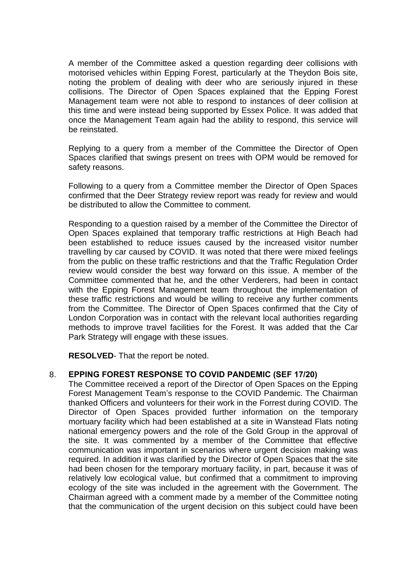A member of the Committee asked a question regarding deer collisions with motorised vehicles within Epping Forest, particularly at the Theydon Bois site, noting the problem of dealing with deer who are seriously injured in these collisions. The Director of Open Spaces explained that the Epping Forest Management team were not able to respond to instances of deer collision at this time and were instead being supported by Essex Police. It was added that once the Management Team again had the ability to respond, this service will be reinstated.

Replying to a query from a member of the Committee the Director of Open Spaces clarified that swings present on trees with OPM would be removed for safety reasons.

Following to a query from a Committee member the Director of Open Spaces confirmed that the Deer Strategy review report was ready for review and would be distributed to allow the Committee to comment.

Responding to a question raised by a member of the Committee the Director of Open Spaces explained that temporary traffic restrictions at High Beach had been established to reduce issues caused by the increased visitor number travelling by car caused by COVID. It was noted that there were mixed feelings from the public on these traffic restrictions and that the Traffic Regulation Order review would consider the best way forward on this issue. A member of the Committee commented that he, and the other Verderers, had been in contact with the Epping Forest Management team throughout the implementation of these traffic restrictions and would be willing to receive any further comments from the Committee. The Director of Open Spaces confirmed that the City of London Corporation was in contact with the relevant local authorities regarding methods to improve travel facilities for the Forest. It was added that the Car Park Strategy will engage with these issues.

**RESOLVED**- That the report be noted.

#### 8. **EPPING FOREST RESPONSE TO COVID PANDEMIC (SEF 17/20)**

The Committee received a report of the Director of Open Spaces on the Epping Forest Management Team's response to the COVID Pandemic. The Chairman thanked Officers and volunteers for their work in the Forrest during COVID. The Director of Open Spaces provided further information on the temporary mortuary facility which had been established at a site in Wanstead Flats noting national emergency powers and the role of the Gold Group in the approval of the site. It was commented by a member of the Committee that effective communication was important in scenarios where urgent decision making was required. In addition it was clarified by the Director of Open Spaces that the site had been chosen for the temporary mortuary facility, in part, because it was of relatively low ecological value, but confirmed that a commitment to improving ecology of the site was included in the agreement with the Government. The Chairman agreed with a comment made by a member of the Committee noting that the communication of the urgent decision on this subject could have been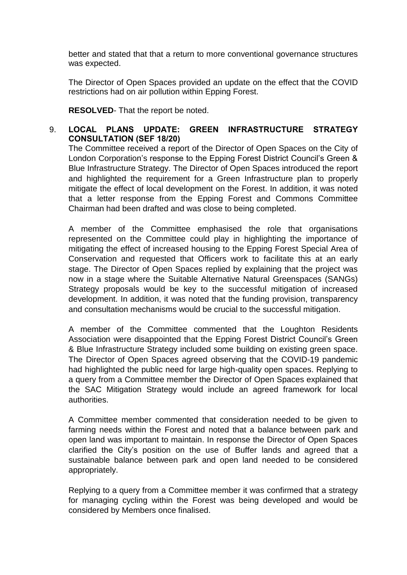better and stated that that a return to more conventional governance structures was expected.

The Director of Open Spaces provided an update on the effect that the COVID restrictions had on air pollution within Epping Forest.

**RESOLVED**- That the report be noted.

# 9. **LOCAL PLANS UPDATE: GREEN INFRASTRUCTURE STRATEGY CONSULTATION (SEF 18/20)**

The Committee received a report of the Director of Open Spaces on the City of London Corporation's response to the Epping Forest District Council's Green & Blue Infrastructure Strategy. The Director of Open Spaces introduced the report and highlighted the requirement for a Green Infrastructure plan to properly mitigate the effect of local development on the Forest. In addition, it was noted that a letter response from the Epping Forest and Commons Committee Chairman had been drafted and was close to being completed.

A member of the Committee emphasised the role that organisations represented on the Committee could play in highlighting the importance of mitigating the effect of increased housing to the Epping Forest Special Area of Conservation and requested that Officers work to facilitate this at an early stage. The Director of Open Spaces replied by explaining that the project was now in a stage where the Suitable Alternative Natural Greenspaces (SANGs) Strategy proposals would be key to the successful mitigation of increased development. In addition, it was noted that the funding provision, transparency and consultation mechanisms would be crucial to the successful mitigation.

A member of the Committee commented that the Loughton Residents Association were disappointed that the Epping Forest District Council's Green & Blue Infrastructure Strategy included some building on existing green space. The Director of Open Spaces agreed observing that the COVID-19 pandemic had highlighted the public need for large high-quality open spaces. Replying to a query from a Committee member the Director of Open Spaces explained that the SAC Mitigation Strategy would include an agreed framework for local authorities.

A Committee member commented that consideration needed to be given to farming needs within the Forest and noted that a balance between park and open land was important to maintain. In response the Director of Open Spaces clarified the City's position on the use of Buffer lands and agreed that a sustainable balance between park and open land needed to be considered appropriately.

Replying to a query from a Committee member it was confirmed that a strategy for managing cycling within the Forest was being developed and would be considered by Members once finalised.